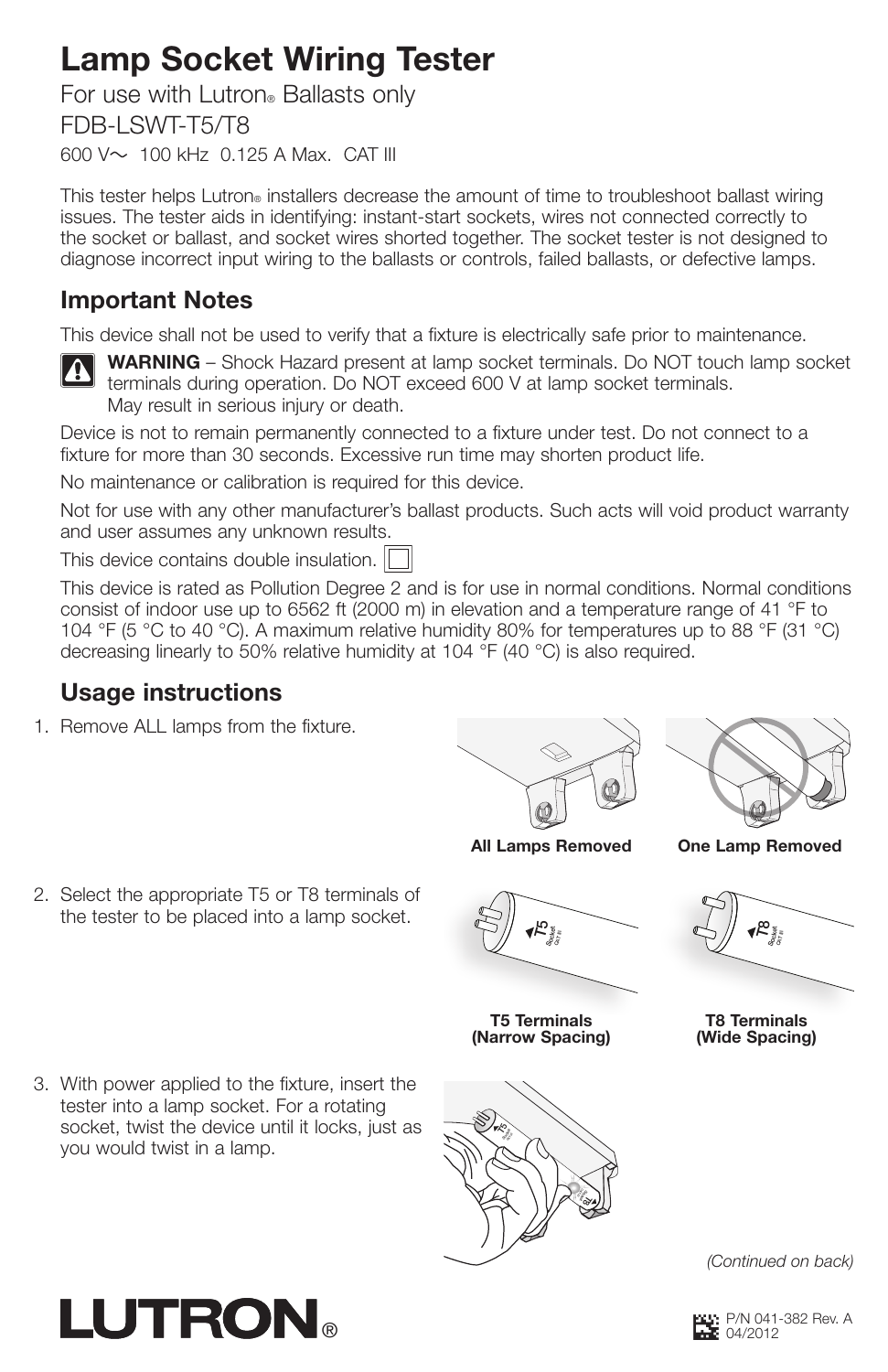# Lamp Socket Wiring Tester

For use with Lutron® Ballasts only FDB-LSWT-T5/T8 600 V~ 100 kHz 0.125 A Max. CAT III

This tester helps Lutron® installers decrease the amount of time to troubleshoot ballast wiring issues. The tester aids in identifying: instant-start sockets, wires not connected correctly to the socket or ballast, and socket wires shorted together. The socket tester is not designed to diagnose incorrect input wiring to the ballasts or controls, failed ballasts, or defective lamps.

## Important Notes

This device shall not be used to verify that a fixture is electrically safe prior to maintenance.



WARNING – Shock Hazard present at lamp socket terminals. Do NOT touch lamp socket terminals during operation. Do NOT exceed 600 V at lamp socket terminals. May result in serious injury or death.

Device is not to remain permanently connected to a fixture under test. Do not connect to a fixture for more than 30 seconds. Excessive run time may shorten product life.

No maintenance or calibration is required for this device.

Not for use with any other manufacturer's ballast products. Such acts will void product warranty and user assumes any unknown results.

This device contains double insulation.

This device is rated as Pollution Degree 2 and is for use in normal conditions. Normal conditions consist of indoor use up to 6562 ft (2000 m) in elevation and a temperature range of 41 °F to 104 °F (5 °C to 40 °C). A maximum relative humidity 80% for temperatures up to 88 °F (31 °C) decreasing linearly to 50% relative humidity at 104 °F (40 °C) is also required.

## Usage instructions

1. Remove ALL lamps from the fixture.





All Lamps Removed One Lamp Removed

2. Select the appropriate T5 or T8 terminals of the tester to be placed into a lamp socket.



T5 Terminals (Narrow Spacing)



 $\tilde{\kappa}$  $\blacktriangledown$ Socket<br>Gara ድ

T8 Terminals (Wide Spacing)

3. With power applied to the fixture, insert the tester into a lamp socket. For a rotating socket, twist the device until it locks, just as you would twist in a lamp.

**LUTRON** 



*(Continued on back)*